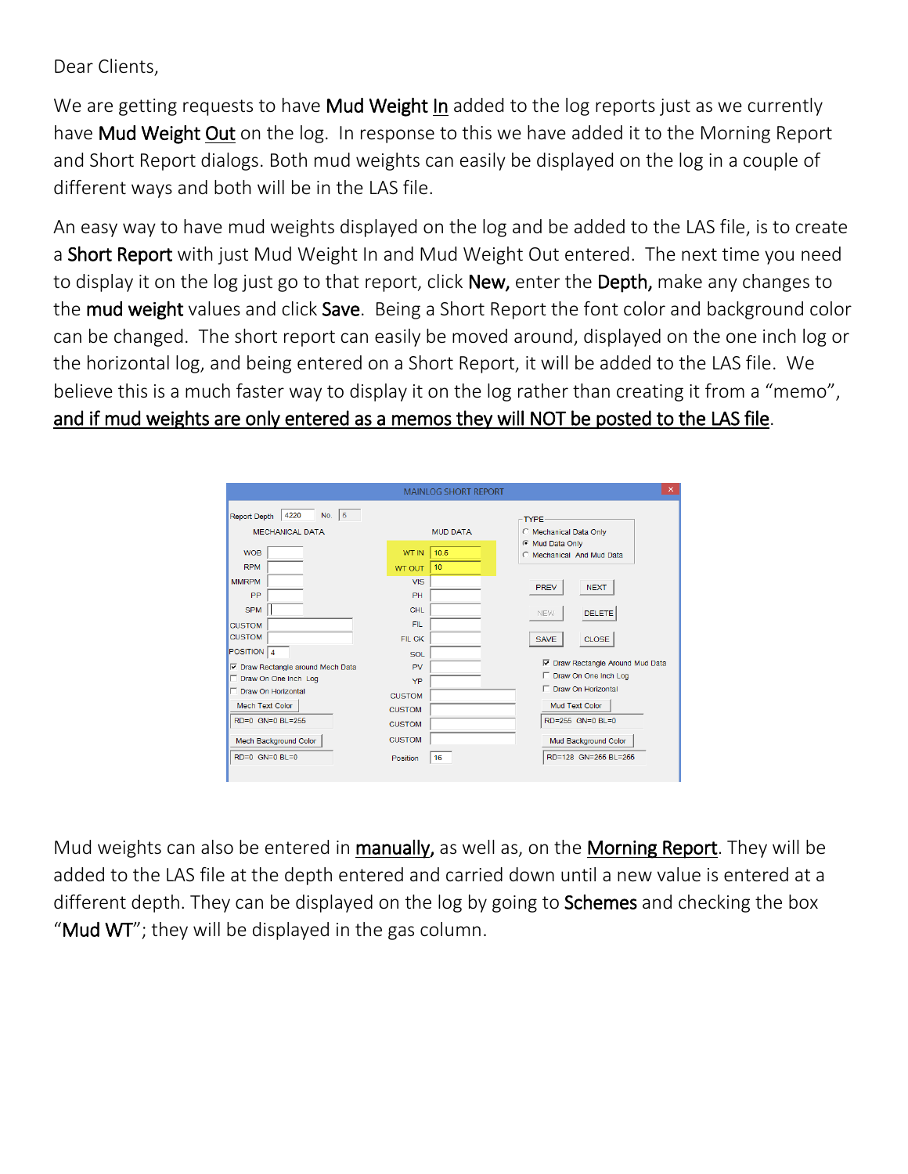Dear Clients,

We are getting requests to have **Mud Weight In** added to the log reports just as we currently have Mud Weight Out on the log. In response to this we have added it to the Morning Report and Short Report dialogs. Both mud weights can easily be displayed on the log in a couple of different ways and both will be in the LAS file.

An easy way to have mud weights displayed on the log and be added to the LAS file, is to create a Short Report with just Mud Weight In and Mud Weight Out entered. The next time you need to display it on the log just go to that report, click New, enter the Depth, make any changes to the mud weight values and click Save. Being a Short Report the font color and background color can be changed. The short report can easily be moved around, displayed on the one inch log or the horizontal log, and being entered on a Short Report, it will be added to the LAS file. We believe this is a much faster way to display it on the log rather than creating it from a "memo", and if mud weights are only entered as a memos they will NOT be posted to the LAS file.

|                                                                    | <b>MAINLOG SHORT REPORT</b>                 | $\boldsymbol{\times}$                                                  |
|--------------------------------------------------------------------|---------------------------------------------|------------------------------------------------------------------------|
| No. $ 5 $<br>4220<br><b>Report Depth</b><br><b>MECHANICAL DATA</b> | <b>MUD DATA</b>                             | <b>TYPE</b><br>C Mechanical Data Only                                  |
| <b>WOB</b><br><b>RPM</b>                                           | <b>WT IN</b><br>10.5<br>10<br><b>WT OUT</b> | Mud Data Only<br>C Mechanical And Mud Data                             |
| <b>MMRPM</b><br><b>PP</b>                                          | <b>VIS</b><br>PH                            | <b>PREV</b><br><b>NEXT</b>                                             |
| <b>SPM</b><br><b>CUSTOM</b><br><b>CUSTOM</b>                       | CHL<br>FIL.                                 | <b>DELETE</b><br><b>NEW</b>                                            |
| POSITION $ 4$<br><b>▽</b> Draw Rectangle around Mech Data          | FIL CK<br><b>SOL</b><br>PV                  | <b>CLOSE</b><br><b>SAVE</b><br><b>▽</b> Draw Rectangle Around Mud Data |
| Draw On One Inch Log<br>Draw On Horizontal                         | YP<br><b>CUSTOM</b>                         | Draw On One Inch Log<br>п<br>Draw On Horizontal<br>г.                  |
| Mech Text Color<br>$RD = 0$ $GN = 0$ $Bl = 255$                    | <b>CUSTOM</b><br><b>CUSTOM</b>              | Mud Text Color<br>$RD = 255$ $GN = 0$ $Bl = 0$                         |
| Mech Background Color                                              | <b>CUSTOM</b>                               | Mud Background Color                                                   |
| $RD=0$ GN=0 $BL=0$                                                 | 16<br>Position                              | RD=128 GN=255 BL=255                                                   |

Mud weights can also be entered in manually, as well as, on the Morning Report. They will be added to the LAS file at the depth entered and carried down until a new value is entered at a different depth. They can be displayed on the log by going to **Schemes** and checking the box "Mud WT"; they will be displayed in the gas column.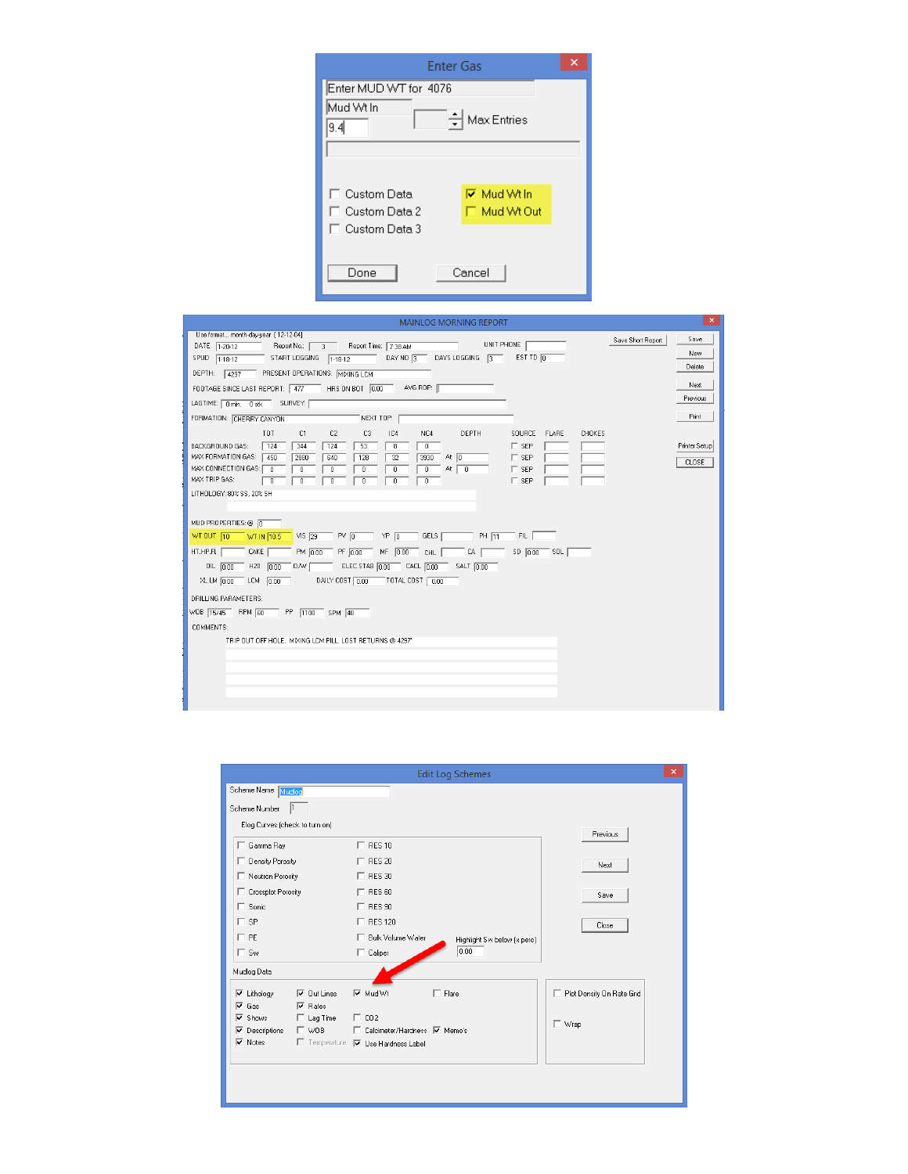| <b>Enter Gas</b>                                 |  |  |  |  |
|--------------------------------------------------|--|--|--|--|
| Enter MUD WT for 4076                            |  |  |  |  |
| Mud Wt In<br>Max Entries<br>9.4                  |  |  |  |  |
|                                                  |  |  |  |  |
| <b>I⊽</b> Mud Wt In<br>□ Custom Data             |  |  |  |  |
| □ Mud Wt Out<br>T Custom Data 2<br>Custom Data 3 |  |  |  |  |
|                                                  |  |  |  |  |
| Cancel<br>Done                                   |  |  |  |  |

| $\mathsf{x}$<br><b>MAINLOG MORNING REPORT</b>                                                                                                                                                        |                           |  |  |  |  |
|------------------------------------------------------------------------------------------------------------------------------------------------------------------------------------------------------|---------------------------|--|--|--|--|
| Use format month-day-year [12-12-04]                                                                                                                                                                 | Save<br>Save Short Report |  |  |  |  |
| UNIT PHONE<br>DATE 1-20-12<br>Report Time: 7:38 AM<br>Report No.:  <br>$\overline{3}$<br>EST TD O<br>DAY NO $\sqrt{3}$<br>DAYS LOGGING<br>START LOGGING<br>$\sqrt{3}$<br>SPUD 1-18-12<br>$1.18 - 12$ | New                       |  |  |  |  |
|                                                                                                                                                                                                      | Delete                    |  |  |  |  |
| PRESENT OPERATIONS: MIXING LCM<br>DEPTH: 4297                                                                                                                                                        | Next                      |  |  |  |  |
| AVG ROP:  <br>FOOTAGE SINCE LAST REPORT: 477<br>HRS ON BOT 0.00                                                                                                                                      | Previous                  |  |  |  |  |
| LAGTIME: 0 min, 0 stk SURVEY:                                                                                                                                                                        |                           |  |  |  |  |
| FORMATION: CHERRY CANYON<br>NEXT TOP:                                                                                                                                                                | Print                     |  |  |  |  |
| TOT<br>C <sub>2</sub><br>DEPTH<br>SOURCE<br>C1<br>C <sub>3</sub><br>IC4<br>NC4                                                                                                                       | <b>FLARE</b><br>CHOKES    |  |  |  |  |
| BACKGROUND GAS:<br>124<br>344<br>124<br>53<br>$\Gamma$ SEP<br>8<br>0<br>MAX FORMATION GAS:<br>450<br>2880<br>At $\boxed{0}$<br>$\Gamma$ SEP<br>640<br>128<br>32<br>3930                              | Printer Setup             |  |  |  |  |
| MAX CONNECTION GAS: 0<br>At $\boxed{0}$<br>$\sqsubset$ SEP<br>$\overline{0}$<br>$\overline{0}$<br>$\overline{0}$<br>ō<br>$\overline{0}$                                                              | <b>CLOSE</b>              |  |  |  |  |
| MAX TRIP GAS:<br>$\Box$ SEP<br>$\overline{0}$<br>$\overline{0}$<br>$\overline{0}$<br>ō<br>$\overline{0}$<br>0                                                                                        |                           |  |  |  |  |
| LITHOLOGY: 80% SS, 20% SH                                                                                                                                                                            |                           |  |  |  |  |
|                                                                                                                                                                                                      |                           |  |  |  |  |
| MUD PROPERTIES: @ 0                                                                                                                                                                                  |                           |  |  |  |  |
| WT OUT 10<br>$VIS \overline{29}$<br>$PV$ $\overline{0}$<br>GELS  <br>FIL.<br>WT IN 10.5<br>$\top$ YP $\boxed{0}$<br>PH 11                                                                            |                           |  |  |  |  |
| CAKE<br>HT.HP.FL<br>PM 0.00<br>PF 0.00<br>$MF$ 0.00<br>CA<br>$SD$ $0.00$<br>⊤ so∟  <br>CHL                                                                                                           |                           |  |  |  |  |
| ELEC STAB 0.00<br>$OL$ $0.00$<br>$\overline{C}$ CACL $\overline{0.00}$<br>SALT $0.00$<br>$H20$ 0.00<br>$0 \wedge \sqrt{2}$                                                                           |                           |  |  |  |  |
| DAILY COST 0.00<br>$\top$ TOTAL COST $\boxed{0.00}$<br>$XLLM$ $0.00$<br>LCM $0.00$                                                                                                                   |                           |  |  |  |  |
| DRILLING PARAMETERS:                                                                                                                                                                                 |                           |  |  |  |  |
| WOB 15/45 RPM 60 PP 1100 SPM 48                                                                                                                                                                      |                           |  |  |  |  |
| COMMENTS:                                                                                                                                                                                            |                           |  |  |  |  |
| TRIP OUT OFF HOLE. MIXING LCM PILL, LOST RETURNS @ 4297'                                                                                                                                             |                           |  |  |  |  |
|                                                                                                                                                                                                      |                           |  |  |  |  |
|                                                                                                                                                                                                      |                           |  |  |  |  |
|                                                                                                                                                                                                      |                           |  |  |  |  |
|                                                                                                                                                                                                      |                           |  |  |  |  |
|                                                                                                                                                                                                      |                           |  |  |  |  |

| $\times$<br><b>Edit Log Schemes</b>                              |                                                    |                             |  |  |
|------------------------------------------------------------------|----------------------------------------------------|-----------------------------|--|--|
| Scheme Name Mudlog                                               |                                                    |                             |  |  |
| Scheme Number                                                    |                                                    |                             |  |  |
| Elog Curves (check to turn on)                                   |                                                    |                             |  |  |
| Gamma Ray                                                        | $\Box$ RES 10                                      | Previous                    |  |  |
|                                                                  |                                                    |                             |  |  |
| Density Porosity                                                 | $\Gamma$ RES 20                                    | Next                        |  |  |
| □ Neutron Porosity                                               | $\Box$ RES 30                                      |                             |  |  |
| Crossplot Porosity                                               | $\Gamma$ RES 60                                    | Save                        |  |  |
| $\Gamma$ Sonic                                                   | $\Box$ RES 90                                      |                             |  |  |
| <b>SP</b><br>г.                                                  | $\Box$ RES 120                                     | Close                       |  |  |
| $\sqcap$ PE                                                      | □ Bulk Volume Water<br>Highlight Sw below (x perc) |                             |  |  |
| $\Gamma$ Sw                                                      | 0.00<br>$\Box$ Caliper                             |                             |  |  |
| Mudlog Data                                                      |                                                    |                             |  |  |
| $\overline{\vee}$ Out Lines<br>$\overline{\mathbf{v}}$ Lithology | <b>▽</b> Mud Wt<br>$\Gamma$ Flare                  | F Plot Density On Rate Grid |  |  |
| $\nabla$ Rates<br>$\overline{V}$ Gas                             |                                                    |                             |  |  |
| $\overline{\triangledown}$ Shows<br>$\Box$ Lag Time              | CO <sub>2</sub><br>г                               |                             |  |  |
| $\Box$ WOB<br>$\nabla$ Descriptions                              | □ Calcimeter/Hardness 区 Memo's                     | $\Box$ Wrap                 |  |  |
| $\overline{\vee}$ Notes                                          | □ Temperature V Use Hardness Label                 |                             |  |  |
|                                                                  |                                                    |                             |  |  |
|                                                                  |                                                    |                             |  |  |
|                                                                  |                                                    |                             |  |  |
|                                                                  |                                                    |                             |  |  |